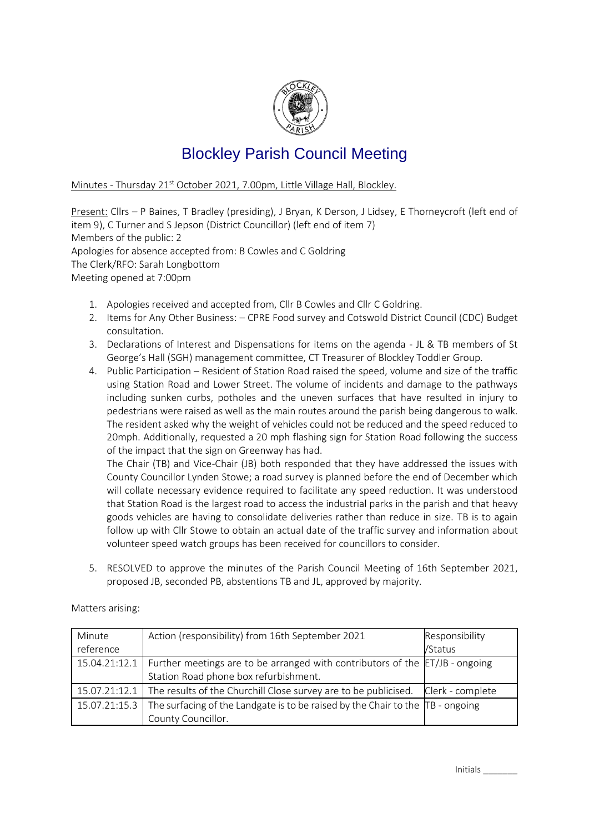

## Blockley Parish Council Meeting

Minutes - Thursday 21<sup>st</sup> October 2021, 7.00pm, Little Village Hall, Blockley.

Present: Cllrs – P Baines, T Bradley (presiding), J Bryan, K Derson, J Lidsey, E Thorneycroft (left end of item 9), C Turner and S Jepson (District Councillor) (left end of item 7) Members of the public: 2 Apologies for absence accepted from: B Cowles and C Goldring The Clerk/RFO: Sarah Longbottom Meeting opened at 7:00pm

- 1. Apologies received and accepted from, Cllr B Cowles and Cllr C Goldring.
- 2. Items for Any Other Business: CPRE Food survey and Cotswold District Council (CDC) Budget consultation.
- 3. Declarations of Interest and Dispensations for items on the agenda JL & TB members of St George's Hall (SGH) management committee, CT Treasurer of Blockley Toddler Group.
- 4. Public Participation Resident of Station Road raised the speed, volume and size of the traffic using Station Road and Lower Street. The volume of incidents and damage to the pathways including sunken curbs, potholes and the uneven surfaces that have resulted in injury to pedestrians were raised as well as the main routes around the parish being dangerous to walk. The resident asked why the weight of vehicles could not be reduced and the speed reduced to 20mph. Additionally, requested a 20 mph flashing sign for Station Road following the success of the impact that the sign on Greenway has had.

The Chair (TB) and Vice-Chair (JB) both responded that they have addressed the issues with County Councillor Lynden Stowe; a road survey is planned before the end of December which will collate necessary evidence required to facilitate any speed reduction. It was understood that Station Road is the largest road to access the industrial parks in the parish and that heavy goods vehicles are having to consolidate deliveries rather than reduce in size. TB is to again follow up with Cllr Stowe to obtain an actual date of the traffic survey and information about volunteer speed watch groups has been received for councillors to consider.

5. RESOLVED to approve the minutes of the Parish Council Meeting of 16th September 2021, proposed JB, seconded PB, abstentions TB and JL, approved by majority.

| Minute<br>reference | Action (responsibility) from 16th September 2021                                                                                    | Responsibility<br>/Status |
|---------------------|-------------------------------------------------------------------------------------------------------------------------------------|---------------------------|
|                     | 15.04.21:12.1 Further meetings are to be arranged with contributors of the ET/JB - ongoing<br>Station Road phone box refurbishment. |                           |
|                     | 15.07.21:12.1 The results of the Churchill Close survey are to be publicised.                                                       | Clerk - complete          |
| 15.07.21:15.3       | The surfacing of the Landgate is to be raised by the Chair to the $\overline{AB}$ - ongoing<br>County Councillor.                   |                           |

Matters arising: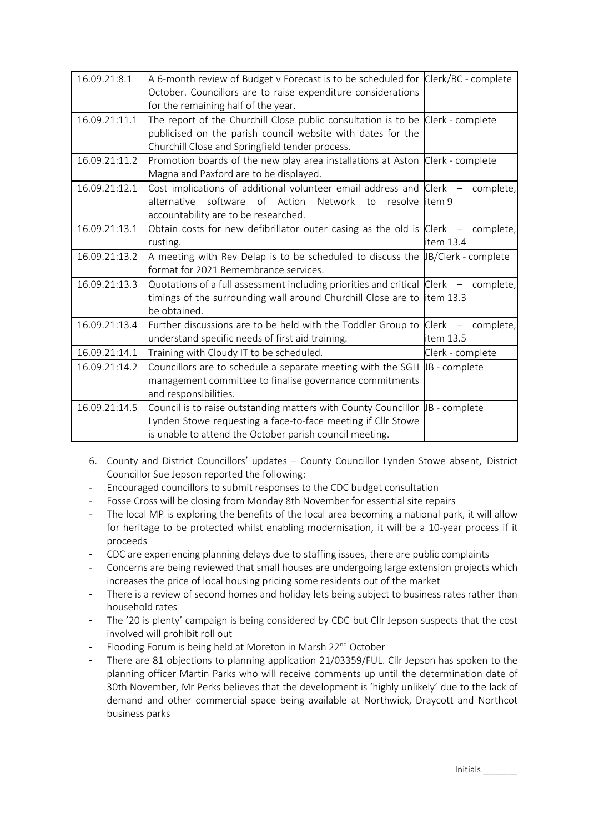| 16.09.21:8.1  | A 6-month review of Budget v Forecast is to be scheduled for Clerk/BC - complete<br>October. Councillors are to raise expenditure considerations<br>for the remaining half of the year.                      |                        |
|---------------|--------------------------------------------------------------------------------------------------------------------------------------------------------------------------------------------------------------|------------------------|
| 16.09.21:11.1 | The report of the Churchill Close public consultation is to be Clerk - complete<br>publicised on the parish council website with dates for the<br>Churchill Close and Springfield tender process.            |                        |
| 16.09.21:11.2 | Promotion boards of the new play area installations at Aston Clerk - complete<br>Magna and Paxford are to be displayed.                                                                                      |                        |
| 16.09.21:12.1 | Cost implications of additional volunteer email address and $Clerk -$<br>alternative<br>software<br>of Action<br>Network<br>resolve litem 9<br>to<br>accountability are to be researched.                    | complete,              |
| 16.09.21:13.1 | Obtain costs for new defibrillator outer casing as the old is $Clerk -$<br>rusting.                                                                                                                          | complete,<br>item 13.4 |
| 16.09.21:13.2 | A meeting with Rev Delap is to be scheduled to discuss the $ B/C $ erk - complete<br>format for 2021 Remembrance services.                                                                                   |                        |
| 16.09.21:13.3 | Quotations of a full assessment including priorities and critical $\vert$ Clerk $-$ complete,<br>timings of the surrounding wall around Churchill Close are to item 13.3<br>be obtained.                     |                        |
| 16.09.21:13.4 | Further discussions are to be held with the Toddler Group to $\text{Clerk}$ – complete,<br>understand specific needs of first aid training.                                                                  | item 13.5              |
| 16.09.21:14.1 | Training with Cloudy IT to be scheduled.                                                                                                                                                                     | Clerk - complete       |
| 16.09.21:14.2 | Councillors are to schedule a separate meeting with the SGH $\mu$ B - complete<br>management committee to finalise governance commitments<br>and responsibilities.                                           |                        |
| 16.09.21:14.5 | Council is to raise outstanding matters with County Councillor $\mu$ B - complete<br>Lynden Stowe requesting a face-to-face meeting if Cllr Stowe<br>is unable to attend the October parish council meeting. |                        |

- 6. County and District Councillors' updates County Councillor Lynden Stowe absent, District Councillor Sue Jepson reported the following:
- Encouraged councillors to submit responses to the CDC budget consultation
- Fosse Cross will be closing from Monday 8th November for essential site repairs
- The local MP is exploring the benefits of the local area becoming a national park, it will allow for heritage to be protected whilst enabling modernisation, it will be a 10-year process if it proceeds
- CDC are experiencing planning delays due to staffing issues, there are public complaints
- Concerns are being reviewed that small houses are undergoing large extension projects which increases the price of local housing pricing some residents out of the market
- There is a review of second homes and holiday lets being subject to business rates rather than household rates
- The '20 is plenty' campaign is being considered by CDC but Cllr Jepson suspects that the cost involved will prohibit roll out
- Flooding Forum is being held at Moreton in Marsh 22<sup>nd</sup> October
- There are 81 objections to planning application 21/03359/FUL. Cllr Jepson has spoken to the planning officer Martin Parks who will receive comments up until the determination date of 30th November, Mr Perks believes that the development is 'highly unlikely' due to the lack of demand and other commercial space being available at Northwick, Draycott and Northcot business parks

Initials \_\_\_\_\_\_\_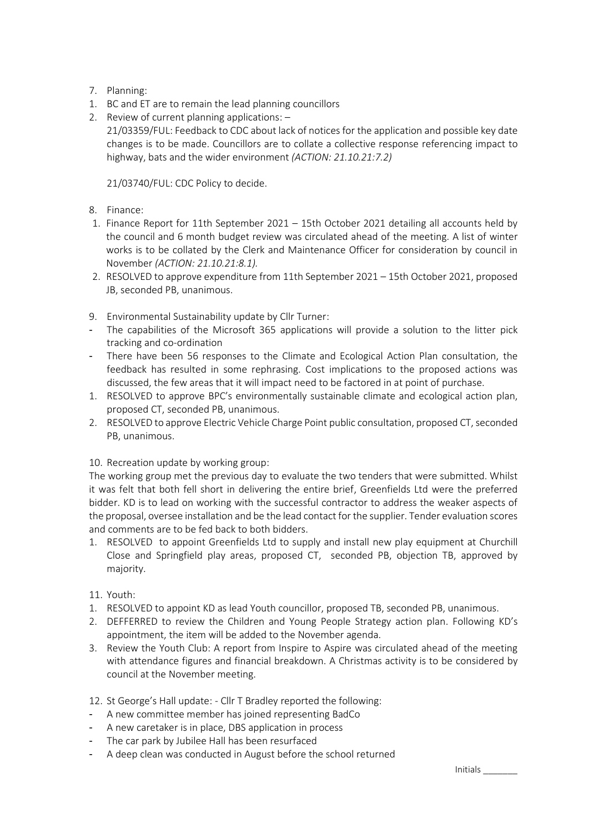- 7. Planning:
- 1. BC and ET are to remain the lead planning councillors
- 2. Review of current planning applications: 21/03359/FUL: Feedback to CDC about lack of notices for the application and possible key date changes is to be made. Councillors are to collate a collective response referencing impact to highway, bats and the wider environment *(ACTION: 21.10.21:7.2)*

21/03740/FUL: CDC Policy to decide.

- 8. Finance:
- 1. Finance Report for 11th September 2021 15th October 2021 detailing all accounts held by the council and 6 month budget review was circulated ahead of the meeting. A list of winter works is to be collated by the Clerk and Maintenance Officer for consideration by council in November *(ACTION: 21.10.21:8.1).*
- 2. RESOLVED to approve expenditure from 11th September 2021 15th October 2021, proposed JB, seconded PB, unanimous.
- 9. Environmental Sustainability update by Cllr Turner:
- The capabilities of the Microsoft 365 applications will provide a solution to the litter pick tracking and co-ordination
- There have been 56 responses to the Climate and Ecological Action Plan consultation, the feedback has resulted in some rephrasing. Cost implications to the proposed actions was discussed, the few areas that it will impact need to be factored in at point of purchase.
- 1. RESOLVED to approve BPC's environmentally sustainable climate and ecological action plan, proposed CT, seconded PB, unanimous.
- 2. RESOLVED to approve Electric Vehicle Charge Point public consultation, proposed CT, seconded PB, unanimous.

10. Recreation update by working group:

The working group met the previous day to evaluate the two tenders that were submitted. Whilst it was felt that both fell short in delivering the entire brief, Greenfields Ltd were the preferred bidder. KD is to lead on working with the successful contractor to address the weaker aspects of the proposal, oversee installation and be the lead contact for the supplier. Tender evaluation scores and comments are to be fed back to both bidders.

1. RESOLVED to appoint Greenfields Ltd to supply and install new play equipment at Churchill Close and Springfield play areas, proposed CT, seconded PB, objection TB, approved by majority.

## 11. Youth:

- 1. RESOLVED to appoint KD as lead Youth councillor, proposed TB, seconded PB, unanimous.
- 2. DEFFERRED to review the Children and Young People Strategy action plan. Following KD's appointment, the item will be added to the November agenda.
- 3. Review the Youth Club: A report from Inspire to Aspire was circulated ahead of the meeting with attendance figures and financial breakdown. A Christmas activity is to be considered by council at the November meeting.

12. St George's Hall update: - Cllr T Bradley reported the following:

- A new committee member has joined representing BadCo
- A new caretaker is in place, DBS application in process
- The car park by Jubilee Hall has been resurfaced
- A deep clean was conducted in August before the school returned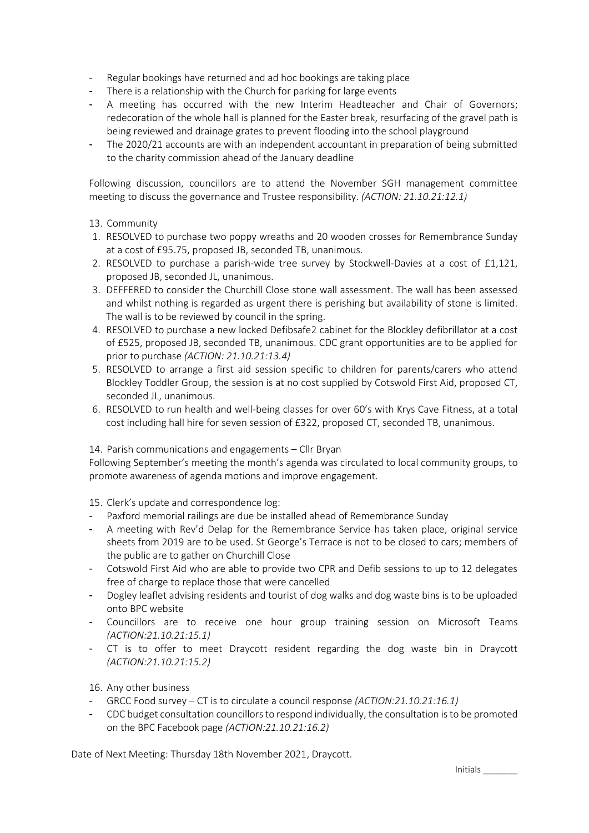- Regular bookings have returned and ad hoc bookings are taking place
- There is a relationship with the Church for parking for large events
- A meeting has occurred with the new Interim Headteacher and Chair of Governors; redecoration of the whole hall is planned for the Easter break, resurfacing of the gravel path is being reviewed and drainage grates to prevent flooding into the school playground
- The 2020/21 accounts are with an independent accountant in preparation of being submitted to the charity commission ahead of the January deadline

Following discussion, councillors are to attend the November SGH management committee meeting to discuss the governance and Trustee responsibility. *(ACTION: 21.10.21:12.1)*

- 13. Community
- 1. RESOLVED to purchase two poppy wreaths and 20 wooden crosses for Remembrance Sunday at a cost of £95.75, proposed JB, seconded TB, unanimous.
- 2. RESOLVED to purchase a parish-wide tree survey by Stockwell-Davies at a cost of £1,121, proposed JB, seconded JL, unanimous.
- 3. DEFFERED to consider the Churchill Close stone wall assessment. The wall has been assessed and whilst nothing is regarded as urgent there is perishing but availability of stone is limited. The wall is to be reviewed by council in the spring.
- 4. RESOLVED to purchase a new locked Defibsafe2 cabinet for the Blockley defibrillator at a cost of £525, proposed JB, seconded TB, unanimous. CDC grant opportunities are to be applied for prior to purchase *(ACTION: 21.10.21:13.4)*
- 5. RESOLVED to arrange a first aid session specific to children for parents/carers who attend Blockley Toddler Group, the session is at no cost supplied by Cotswold First Aid, proposed CT, seconded JL, unanimous.
- 6. RESOLVED to run health and well-being classes for over 60's with Krys Cave Fitness, at a total cost including hall hire for seven session of £322, proposed CT, seconded TB, unanimous.

## 14. Parish communications and engagements – Cllr Bryan

Following September's meeting the month's agenda was circulated to local community groups, to promote awareness of agenda motions and improve engagement.

15. Clerk's update and correspondence log:

- Paxford memorial railings are due be installed ahead of Remembrance Sunday
- A meeting with Rev'd Delap for the Remembrance Service has taken place, original service sheets from 2019 are to be used. St George's Terrace is not to be closed to cars; members of the public are to gather on Churchill Close
- Cotswold First Aid who are able to provide two CPR and Defib sessions to up to 12 delegates free of charge to replace those that were cancelled
- Dogley leaflet advising residents and tourist of dog walks and dog waste bins is to be uploaded onto BPC website
- Councillors are to receive one hour group training session on Microsoft Teams *(ACTION:21.10.21:15.1)*
- CT is to offer to meet Draycott resident regarding the dog waste bin in Draycott *(ACTION:21.10.21:15.2)*
- 16. Any other business
- GRCC Food survey CT is to circulate a council response *(ACTION:21.10.21:16.1)*
- CDC budget consultation councillors to respond individually, the consultation is to be promoted on the BPC Facebook page *(ACTION:21.10.21:16.2)*

Date of Next Meeting: Thursday 18th November 2021, Draycott.